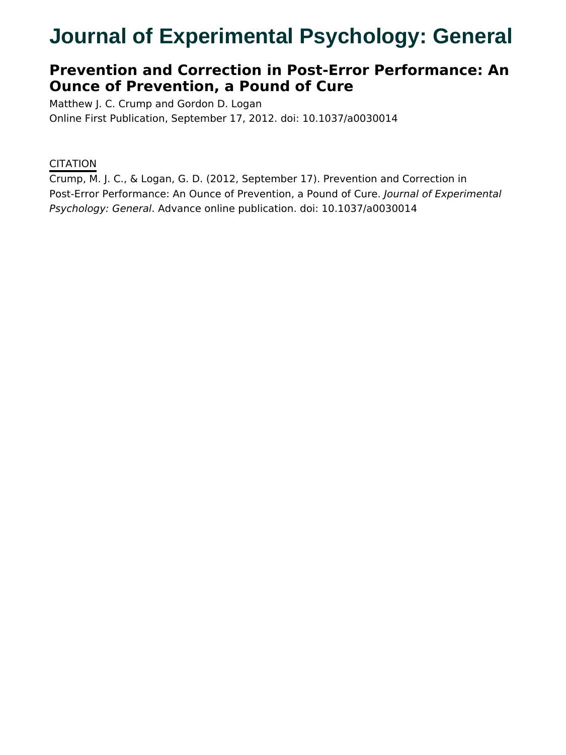# **Journal of Experimental Psychology: General**

# **Prevention and Correction in Post-Error Performance: An Ounce of Prevention, a Pound of Cure**

Matthew J. C. Crump and Gordon D. Logan Online First Publication, September 17, 2012. doi: 10.1037/a0030014

# **CITATION**

Crump, M. J. C., & Logan, G. D. (2012, September 17). Prevention and Correction in Post-Error Performance: An Ounce of Prevention, a Pound of Cure. Journal of Experimental Psychology: General. Advance online publication. doi: 10.1037/a0030014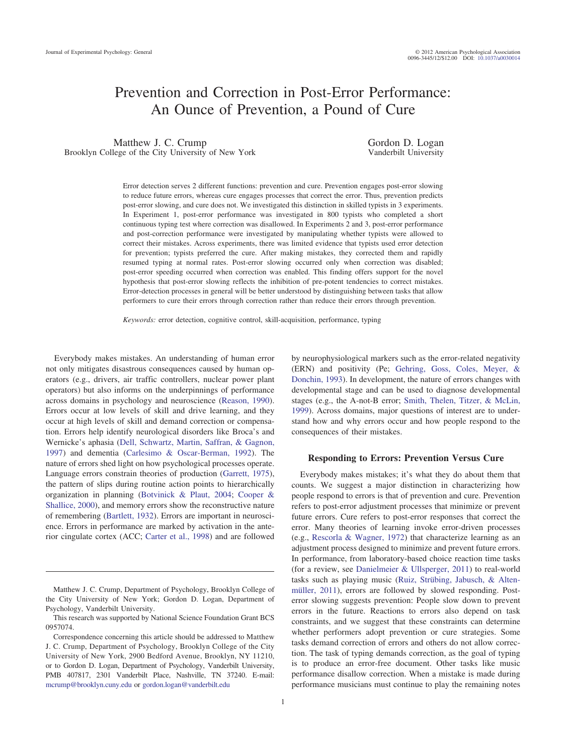# Prevention and Correction in Post-Error Performance: An Ounce of Prevention, a Pound of Cure

Matthew J. C. Crump Brooklyn College of the City University of New York Gordon D. Logan Vanderbilt University

Error detection serves 2 different functions: prevention and cure. Prevention engages post-error slowing to reduce future errors, whereas cure engages processes that correct the error. Thus, prevention predicts post-error slowing, and cure does not. We investigated this distinction in skilled typists in 3 experiments. In Experiment 1, post-error performance was investigated in 800 typists who completed a short continuous typing test where correction was disallowed. In Experiments 2 and 3, post-error performance and post-correction performance were investigated by manipulating whether typists were allowed to correct their mistakes. Across experiments, there was limited evidence that typists used error detection for prevention; typists preferred the cure. After making mistakes, they corrected them and rapidly resumed typing at normal rates. Post-error slowing occurred only when correction was disabled; post-error speeding occurred when correction was enabled. This finding offers support for the novel hypothesis that post-error slowing reflects the inhibition of pre-potent tendencies to correct mistakes. Error-detection processes in general will be better understood by distinguishing between tasks that allow performers to cure their errors through correction rather than reduce their errors through prevention.

*Keywords:* error detection, cognitive control, skill-acquisition, performance, typing

Everybody makes mistakes. An understanding of human error not only mitigates disastrous consequences caused by human operators (e.g., drivers, air traffic controllers, nuclear power plant operators) but also informs on the underpinnings of performance across domains in psychology and neuroscience (Reason, 1990). Errors occur at low levels of skill and drive learning, and they occur at high levels of skill and demand correction or compensation. Errors help identify neurological disorders like Broca's and Wernicke's aphasia (Dell, Schwartz, Martin, Saffran, & Gagnon, 1997) and dementia (Carlesimo & Oscar-Berman, 1992). The nature of errors shed light on how psychological processes operate. Language errors constrain theories of production (Garrett, 1975), the pattern of slips during routine action points to hierarchically organization in planning (Botvinick & Plaut, 2004; Cooper & Shallice, 2000), and memory errors show the reconstructive nature of remembering (Bartlett, 1932). Errors are important in neuroscience. Errors in performance are marked by activation in the anterior cingulate cortex (ACC; Carter et al., 1998) and are followed by neurophysiological markers such as the error-related negativity (ERN) and positivity (Pe; Gehring, Goss, Coles, Meyer, & Donchin, 1993). In development, the nature of errors changes with developmental stage and can be used to diagnose developmental stages (e.g., the A-not-B error; Smith, Thelen, Titzer, & McLin, 1999). Across domains, major questions of interest are to understand how and why errors occur and how people respond to the consequences of their mistakes.

#### **Responding to Errors: Prevention Versus Cure**

Everybody makes mistakes; it's what they do about them that counts. We suggest a major distinction in characterizing how people respond to errors is that of prevention and cure. Prevention refers to post-error adjustment processes that minimize or prevent future errors. Cure refers to post-error responses that correct the error. Many theories of learning invoke error-driven processes (e.g., Rescorla & Wagner, 1972) that characterize learning as an adjustment process designed to minimize and prevent future errors. In performance, from laboratory-based choice reaction time tasks (for a review, see Danielmeier & Ullsperger, 2011) to real-world tasks such as playing music (Ruiz, Strübing, Jabusch, & Altenmüller, 2011), errors are followed by slowed responding. Posterror slowing suggests prevention: People slow down to prevent errors in the future. Reactions to errors also depend on task constraints, and we suggest that these constraints can determine whether performers adopt prevention or cure strategies. Some tasks demand correction of errors and others do not allow correction. The task of typing demands correction, as the goal of typing is to produce an error-free document. Other tasks like music performance disallow correction. When a mistake is made during performance musicians must continue to play the remaining notes

Matthew J. C. Crump, Department of Psychology, Brooklyn College of the City University of New York; Gordon D. Logan, Department of Psychology, Vanderbilt University.

This research was supported by National Science Foundation Grant BCS 0957074.

Correspondence concerning this article should be addressed to Matthew J. C. Crump, Department of Psychology, Brooklyn College of the City University of New York, 2900 Bedford Avenue, Brooklyn, NY 11210, or to Gordon D. Logan, Department of Psychology, Vanderbilt University, PMB 407817, 2301 Vanderbilt Place, Nashville, TN 37240. E-mail: mcrump@brooklyn.cuny.edu or gordon.logan@vanderbilt.edu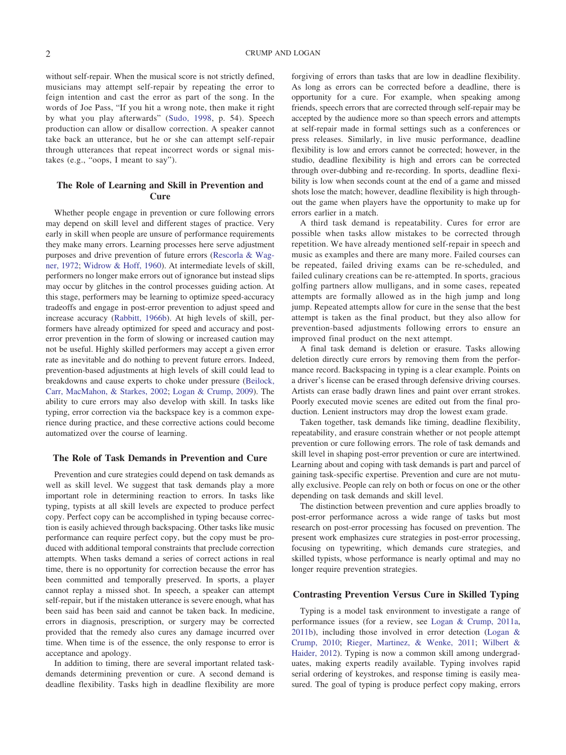without self-repair. When the musical score is not strictly defined, musicians may attempt self-repair by repeating the error to feign intention and cast the error as part of the song. In the words of Joe Pass, "If you hit a wrong note, then make it right by what you play afterwards" (Sudo, 1998, p. 54). Speech production can allow or disallow correction. A speaker cannot take back an utterance, but he or she can attempt self-repair through utterances that repeat incorrect words or signal mistakes (e.g., "oops, I meant to say").

# **The Role of Learning and Skill in Prevention and Cure**

Whether people engage in prevention or cure following errors may depend on skill level and different stages of practice. Very early in skill when people are unsure of performance requirements they make many errors. Learning processes here serve adjustment purposes and drive prevention of future errors (Rescorla & Wagner, 1972; Widrow & Hoff, 1960). At intermediate levels of skill, performers no longer make errors out of ignorance but instead slips may occur by glitches in the control processes guiding action. At this stage, performers may be learning to optimize speed-accuracy tradeoffs and engage in post-error prevention to adjust speed and increase accuracy (Rabbitt, 1966b). At high levels of skill, performers have already optimized for speed and accuracy and posterror prevention in the form of slowing or increased caution may not be useful. Highly skilled performers may accept a given error rate as inevitable and do nothing to prevent future errors. Indeed, prevention-based adjustments at high levels of skill could lead to breakdowns and cause experts to choke under pressure (Beilock, Carr, MacMahon, & Starkes, 2002; Logan & Crump, 2009). The ability to cure errors may also develop with skill. In tasks like typing, error correction via the backspace key is a common experience during practice, and these corrective actions could become automatized over the course of learning.

#### **The Role of Task Demands in Prevention and Cure**

Prevention and cure strategies could depend on task demands as well as skill level. We suggest that task demands play a more important role in determining reaction to errors. In tasks like typing, typists at all skill levels are expected to produce perfect copy. Perfect copy can be accomplished in typing because correction is easily achieved through backspacing. Other tasks like music performance can require perfect copy, but the copy must be produced with additional temporal constraints that preclude correction attempts. When tasks demand a series of correct actions in real time, there is no opportunity for correction because the error has been committed and temporally preserved. In sports, a player cannot replay a missed shot. In speech, a speaker can attempt self-repair, but if the mistaken utterance is severe enough, what has been said has been said and cannot be taken back. In medicine, errors in diagnosis, prescription, or surgery may be corrected provided that the remedy also cures any damage incurred over time. When time is of the essence, the only response to error is acceptance and apology.

In addition to timing, there are several important related taskdemands determining prevention or cure. A second demand is deadline flexibility. Tasks high in deadline flexibility are more

forgiving of errors than tasks that are low in deadline flexibility. As long as errors can be corrected before a deadline, there is opportunity for a cure. For example, when speaking among friends, speech errors that are corrected through self-repair may be accepted by the audience more so than speech errors and attempts at self-repair made in formal settings such as a conferences or press releases. Similarly, in live music performance, deadline flexibility is low and errors cannot be corrected; however, in the studio, deadline flexibility is high and errors can be corrected through over-dubbing and re-recording. In sports, deadline flexibility is low when seconds count at the end of a game and missed shots lose the match; however, deadline flexibility is high throughout the game when players have the opportunity to make up for errors earlier in a match.

A third task demand is repeatability. Cures for error are possible when tasks allow mistakes to be corrected through repetition. We have already mentioned self-repair in speech and music as examples and there are many more. Failed courses can be repeated, failed driving exams can be re-scheduled, and failed culinary creations can be re-attempted. In sports, gracious golfing partners allow mulligans, and in some cases, repeated attempts are formally allowed as in the high jump and long jump. Repeated attempts allow for cure in the sense that the best attempt is taken as the final product, but they also allow for prevention-based adjustments following errors to ensure an improved final product on the next attempt.

A final task demand is deletion or erasure. Tasks allowing deletion directly cure errors by removing them from the performance record. Backspacing in typing is a clear example. Points on a driver's license can be erased through defensive driving courses. Artists can erase badly drawn lines and paint over errant strokes. Poorly executed movie scenes are edited out from the final production. Lenient instructors may drop the lowest exam grade.

Taken together, task demands like timing, deadline flexibility, repeatability, and erasure constrain whether or not people attempt prevention or cure following errors. The role of task demands and skill level in shaping post-error prevention or cure are intertwined. Learning about and coping with task demands is part and parcel of gaining task-specific expertise. Prevention and cure are not mutually exclusive. People can rely on both or focus on one or the other depending on task demands and skill level.

The distinction between prevention and cure applies broadly to post-error performance across a wide range of tasks but most research on post-error processing has focused on prevention. The present work emphasizes cure strategies in post-error processing, focusing on typewriting, which demands cure strategies, and skilled typists, whose performance is nearly optimal and may no longer require prevention strategies.

# **Contrasting Prevention Versus Cure in Skilled Typing**

Typing is a model task environment to investigate a range of performance issues (for a review, see Logan & Crump, 2011a, 2011b), including those involved in error detection (Logan & Crump, 2010; Rieger, Martinez, & Wenke, 2011; Wilbert & Haider, 2012). Typing is now a common skill among undergraduates, making experts readily available. Typing involves rapid serial ordering of keystrokes, and response timing is easily measured. The goal of typing is produce perfect copy making, errors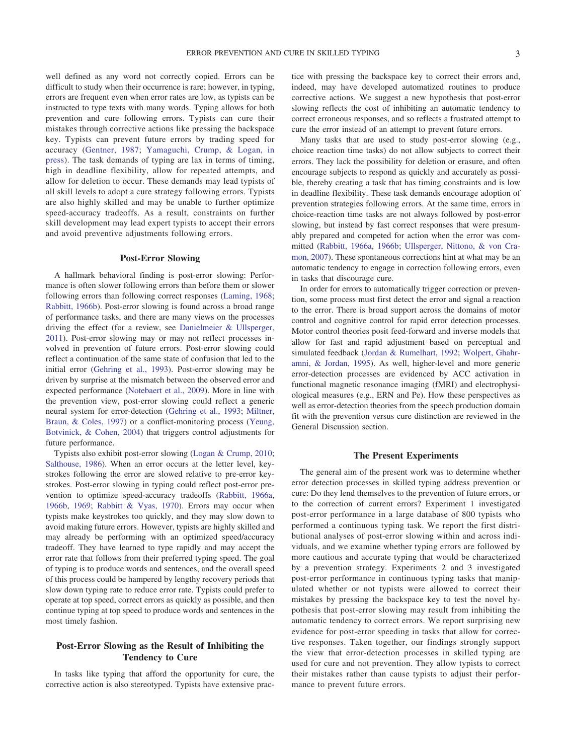well defined as any word not correctly copied. Errors can be difficult to study when their occurrence is rare; however, in typing, errors are frequent even when error rates are low, as typists can be instructed to type texts with many words. Typing allows for both prevention and cure following errors. Typists can cure their mistakes through corrective actions like pressing the backspace key. Typists can prevent future errors by trading speed for accuracy (Gentner, 1987; Yamaguchi, Crump, & Logan, in press). The task demands of typing are lax in terms of timing, high in deadline flexibility, allow for repeated attempts, and allow for deletion to occur. These demands may lead typists of all skill levels to adopt a cure strategy following errors. Typists are also highly skilled and may be unable to further optimize speed-accuracy tradeoffs. As a result, constraints on further skill development may lead expert typists to accept their errors and avoid preventive adjustments following errors.

#### **Post-Error Slowing**

A hallmark behavioral finding is post-error slowing: Performance is often slower following errors than before them or slower following errors than following correct responses (Laming, 1968; Rabbitt, 1966b). Post-error slowing is found across a broad range of performance tasks, and there are many views on the processes driving the effect (for a review, see Danielmeier & Ullsperger, 2011). Post-error slowing may or may not reflect processes involved in prevention of future errors. Post-error slowing could reflect a continuation of the same state of confusion that led to the initial error (Gehring et al., 1993). Post-error slowing may be driven by surprise at the mismatch between the observed error and expected performance (Notebaert et al., 2009). More in line with the prevention view, post-error slowing could reflect a generic neural system for error-detection (Gehring et al., 1993; Miltner, Braun, & Coles, 1997) or a conflict-monitoring process (Yeung, Botvinick, & Cohen, 2004) that triggers control adjustments for future performance.

Typists also exhibit post-error slowing (Logan & Crump, 2010; Salthouse, 1986). When an error occurs at the letter level, keystrokes following the error are slowed relative to pre-error keystrokes. Post-error slowing in typing could reflect post-error prevention to optimize speed-accuracy tradeoffs (Rabbitt, 1966a, 1966b, 1969; Rabbitt & Vyas, 1970). Errors may occur when typists make keystrokes too quickly, and they may slow down to avoid making future errors. However, typists are highly skilled and may already be performing with an optimized speed/accuracy tradeoff. They have learned to type rapidly and may accept the error rate that follows from their preferred typing speed. The goal of typing is to produce words and sentences, and the overall speed of this process could be hampered by lengthy recovery periods that slow down typing rate to reduce error rate. Typists could prefer to operate at top speed, correct errors as quickly as possible, and then continue typing at top speed to produce words and sentences in the most timely fashion.

# **Post-Error Slowing as the Result of Inhibiting the Tendency to Cure**

In tasks like typing that afford the opportunity for cure, the corrective action is also stereotyped. Typists have extensive practice with pressing the backspace key to correct their errors and, indeed, may have developed automatized routines to produce corrective actions. We suggest a new hypothesis that post-error slowing reflects the cost of inhibiting an automatic tendency to correct erroneous responses, and so reflects a frustrated attempt to cure the error instead of an attempt to prevent future errors.

Many tasks that are used to study post-error slowing (e.g., choice reaction time tasks) do not allow subjects to correct their errors. They lack the possibility for deletion or erasure, and often encourage subjects to respond as quickly and accurately as possible, thereby creating a task that has timing constraints and is low in deadline flexibility. These task demands encourage adoption of prevention strategies following errors. At the same time, errors in choice-reaction time tasks are not always followed by post-error slowing, but instead by fast correct responses that were presumably prepared and competed for action when the error was committed (Rabbitt, 1966a, 1966b; Ullsperger, Nittono, & von Cramon, 2007). These spontaneous corrections hint at what may be an automatic tendency to engage in correction following errors, even in tasks that discourage cure.

In order for errors to automatically trigger correction or prevention, some process must first detect the error and signal a reaction to the error. There is broad support across the domains of motor control and cognitive control for rapid error detection processes. Motor control theories posit feed-forward and inverse models that allow for fast and rapid adjustment based on perceptual and simulated feedback (Jordan & Rumelhart, 1992; Wolpert, Ghahramni, & Jordan, 1995). As well, higher-level and more generic error-detection processes are evidenced by ACC activation in functional magnetic resonance imaging (fMRI) and electrophysiological measures (e.g., ERN and Pe). How these perspectives as well as error-detection theories from the speech production domain fit with the prevention versus cure distinction are reviewed in the General Discussion section.

# **The Present Experiments**

The general aim of the present work was to determine whether error detection processes in skilled typing address prevention or cure: Do they lend themselves to the prevention of future errors, or to the correction of current errors? Experiment 1 investigated post-error performance in a large database of 800 typists who performed a continuous typing task. We report the first distributional analyses of post-error slowing within and across individuals, and we examine whether typing errors are followed by more cautious and accurate typing that would be characterized by a prevention strategy. Experiments 2 and 3 investigated post-error performance in continuous typing tasks that manipulated whether or not typists were allowed to correct their mistakes by pressing the backspace key to test the novel hypothesis that post-error slowing may result from inhibiting the automatic tendency to correct errors. We report surprising new evidence for post-error speeding in tasks that allow for corrective responses. Taken together, our findings strongly support the view that error-detection processes in skilled typing are used for cure and not prevention. They allow typists to correct their mistakes rather than cause typists to adjust their performance to prevent future errors.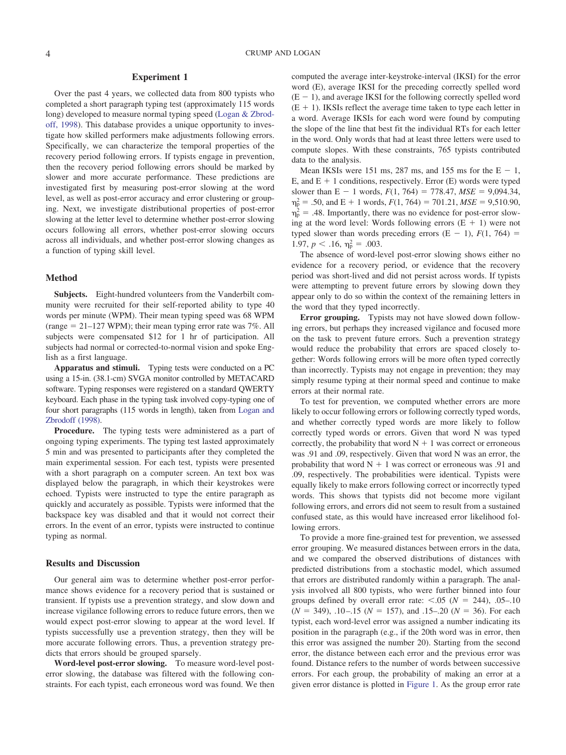# **Experiment 1**

Over the past 4 years, we collected data from 800 typists who completed a short paragraph typing test (approximately 115 words long) developed to measure normal typing speed (Logan & Zbrodoff, 1998). This database provides a unique opportunity to investigate how skilled performers make adjustments following errors. Specifically, we can characterize the temporal properties of the recovery period following errors. If typists engage in prevention, then the recovery period following errors should be marked by slower and more accurate performance. These predictions are investigated first by measuring post-error slowing at the word level, as well as post-error accuracy and error clustering or grouping. Next, we investigate distributional properties of post-error slowing at the letter level to determine whether post-error slowing occurs following all errors, whether post-error slowing occurs across all individuals, and whether post-error slowing changes as a function of typing skill level.

# **Method**

**Subjects.** Eight-hundred volunteers from the Vanderbilt community were recruited for their self-reported ability to type 40 words per minute (WPM). Their mean typing speed was 68 WPM (range  $= 21-127$  WPM); their mean typing error rate was 7%. All subjects were compensated \$12 for 1 hr of participation. All subjects had normal or corrected-to-normal vision and spoke English as a first language.

**Apparatus and stimuli.** Typing tests were conducted on a PC using a 15-in. (38.1-cm) SVGA monitor controlled by METACARD software. Typing responses were registered on a standard QWERTY keyboard. Each phase in the typing task involved copy-typing one of four short paragraphs (115 words in length), taken from Logan and Zbrodoff (1998).

**Procedure.** The typing tests were administered as a part of ongoing typing experiments. The typing test lasted approximately 5 min and was presented to participants after they completed the main experimental session. For each test, typists were presented with a short paragraph on a computer screen. An text box was displayed below the paragraph, in which their keystrokes were echoed. Typists were instructed to type the entire paragraph as quickly and accurately as possible. Typists were informed that the backspace key was disabled and that it would not correct their errors. In the event of an error, typists were instructed to continue typing as normal.

#### **Results and Discussion**

Our general aim was to determine whether post-error performance shows evidence for a recovery period that is sustained or transient. If typists use a prevention strategy, and slow down and increase vigilance following errors to reduce future errors, then we would expect post-error slowing to appear at the word level. If typists successfully use a prevention strategy, then they will be more accurate following errors. Thus, a prevention strategy predicts that errors should be grouped sparsely.

**Word-level post-error slowing.** To measure word-level posterror slowing, the database was filtered with the following constraints. For each typist, each erroneous word was found. We then computed the average inter-keystroke-interval (IKSI) for the error word (E), average IKSI for the preceding correctly spelled word  $(E - 1)$ , and average IKSI for the following correctly spelled word  $(E + 1)$ . IKSIs reflect the average time taken to type each letter in a word. Average IKSIs for each word were found by computing the slope of the line that best fit the individual RTs for each letter in the word. Only words that had at least three letters were used to compute slopes. With these constraints, 765 typists contributed data to the analysis.

Mean IKSIs were  $151 \text{ ms}$ ,  $287 \text{ ms}$ , and  $155 \text{ ms}$  for the  $E - 1$ , E, and  $E + 1$  conditions, respectively. Error (E) words were typed slower than  $E - 1$  words,  $F(1, 764) = 778.47$ ,  $MSE = 9,094.34$ ,  $m_p^2 = .50$ , and E + 1 words,  $F(1, 764) = 701.21$ ,  $MSE = 9,510.90$ ,  $\eta_{\rm p}^2$  = .48. Importantly, there was no evidence for post-error slowing at the word level: Words following errors  $(E + 1)$  were not typed slower than words preceding errors  $(E - 1)$ ,  $F(1, 764) =$ 1.97,  $p < .16$ ,  $\eta_p^2 = .003$ .

The absence of word-level post-error slowing shows either no evidence for a recovery period, or evidence that the recovery period was short-lived and did not persist across words. If typists were attempting to prevent future errors by slowing down they appear only to do so within the context of the remaining letters in the word that they typed incorrectly.

**Error grouping.** Typists may not have slowed down following errors, but perhaps they increased vigilance and focused more on the task to prevent future errors. Such a prevention strategy would reduce the probability that errors are spaced closely together: Words following errors will be more often typed correctly than incorrectly. Typists may not engage in prevention; they may simply resume typing at their normal speed and continue to make errors at their normal rate.

To test for prevention, we computed whether errors are more likely to occur following errors or following correctly typed words, and whether correctly typed words are more likely to follow correctly typed words or errors. Given that word N was typed correctly, the probability that word  $N + 1$  was correct or erroneous was .91 and .09, respectively. Given that word N was an error, the probability that word  $N + 1$  was correct or erroneous was .91 and .09, respectively. The probabilities were identical. Typists were equally likely to make errors following correct or incorrectly typed words. This shows that typists did not become more vigilant following errors, and errors did not seem to result from a sustained confused state, as this would have increased error likelihood following errors.

To provide a more fine-grained test for prevention, we assessed error grouping. We measured distances between errors in the data, and we compared the observed distributions of distances with predicted distributions from a stochastic model, which assumed that errors are distributed randomly within a paragraph. The analysis involved all 800 typists, who were further binned into four groups defined by overall error rate:  $\lt$  0.05 ( $N = 244$ ), 0.05–1.10  $(N = 349)$ , .10–.15 ( $N = 157$ ), and .15–.20 ( $N = 36$ ). For each typist, each word-level error was assigned a number indicating its position in the paragraph (e.g., if the 20th word was in error, then this error was assigned the number 20). Starting from the second error, the distance between each error and the previous error was found. Distance refers to the number of words between successive errors. For each group, the probability of making an error at a given error distance is plotted in Figure 1. As the group error rate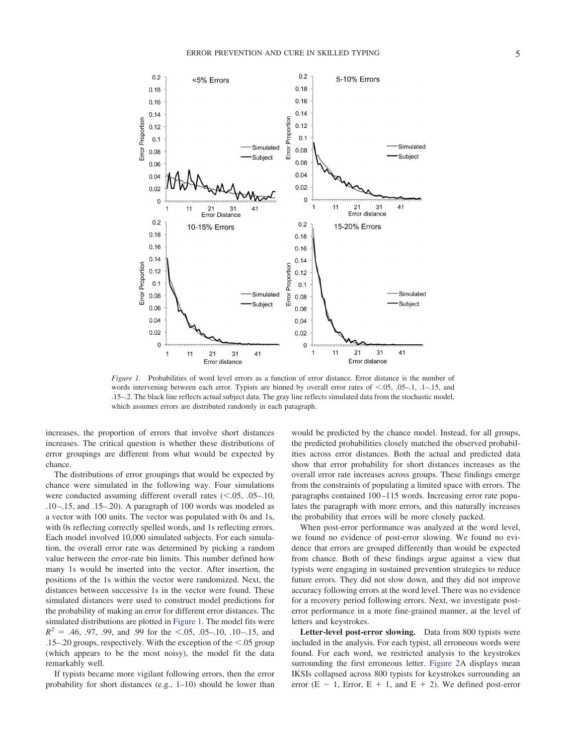

*Figure 1.* Probabilities of word level errors as a function of error distance. Error distance is the number of words intervening between each error. Typists are binned by overall error rates of <.05, .05–.1, .1–.15, and .15–.2. The black line reflects actual subject data. The gray line reflects simulated data from the stochastic model, which assumes errors are distributed randomly in each paragraph.

increases, the proportion of errors that involve short distances increases. The critical question is whether these distributions of error groupings are different from what would be expected by chance.

The distributions of error groupings that would be expected by chance were simulated in the following way. Four simulations were conducted assuming different overall rates  $(<.05, .05-.10,$ .10 –.15, and .15–.20). A paragraph of 100 words was modeled as a vector with 100 units. The vector was populated with 0s and 1s, with 0s reflecting correctly spelled words, and 1s reflecting errors. Each model involved 10,000 simulated subjects. For each simulation, the overall error rate was determined by picking a random value between the error-rate bin limits. This number defined how many 1s would be inserted into the vector. After insertion, the positions of the 1s within the vector were randomized. Next, the distances between successive 1s in the vector were found. These simulated distances were used to construct model predictions for the probability of making an error for different error distances. The simulated distributions are plotted in Figure 1. The model fits were  $R^2 = .46, .97, .99,$  and .99 for the <.05, .05–.10, .10–.15, and .15–.20 groups, respectively. With the exception of the  $\leq$ .05 group (which appears to be the most noisy), the model fit the data remarkably well.

If typists became more vigilant following errors, then the error probability for short distances (e.g., 1–10) should be lower than

would be predicted by the chance model. Instead, for all groups, the predicted probabilities closely matched the observed probabilities across error distances. Both the actual and predicted data show that error probability for short distances increases as the overall error rate increases across groups. These findings emerge from the constraints of populating a limited space with errors. The paragraphs contained 100 –115 words. Increasing error rate populates the paragraph with more errors, and this naturally increases the probability that errors will be more closely packed.

When post-error performance was analyzed at the word level, we found no evidence of post-error slowing. We found no evidence that errors are grouped differently than would be expected from chance. Both of these findings argue against a view that typists were engaging in sustained prevention strategies to reduce future errors. They did not slow down, and they did not improve accuracy following errors at the word level. There was no evidence for a recovery period following errors. Next, we investigate posterror performance in a more fine-grained manner, at the level of letters and keystrokes.

Letter-level post-error slowing. Data from 800 typists were included in the analysis. For each typist, all erroneous words were found. For each word, we restricted analysis to the keystrokes surrounding the first erroneous letter. Figure 2A displays mean IKSIs collapsed across 800 typists for keystrokes surrounding an error  $(E - 1, E$ rror,  $E + 1$ , and  $E + 2$ ). We defined post-error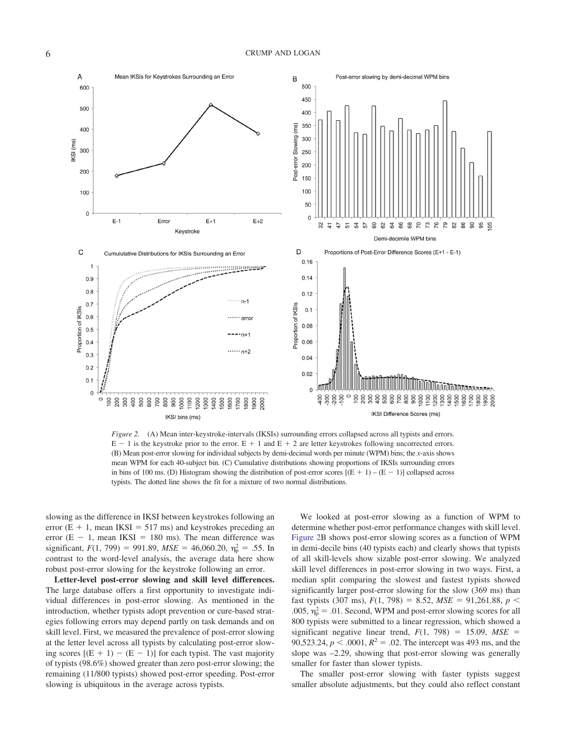

*Figure 2.* (A) Mean inter-keystroke-intervals (IKSIs) surrounding errors collapsed across all typists and errors.  $E - 1$  is the keystroke prior to the error.  $E + 1$  and  $E + 2$  are letter keystrokes following uncorrected errors. (B) Mean post-error slowing for individual subjects by demi-decimal words per minute (WPM) bins; the *x*-axis shows mean WPM for each 40-subject bin. (C) Cumulative distributions showing proportions of IKSIs surrounding errors in bins of 100 ms. (D) Histogram showing the distribution of post-error scores  $[(E + 1) - (E - 1)]$  collapsed across typists. The dotted line shows the fit for a mixture of two normal distributions.

slowing as the difference in IKSI between keystrokes following an error  $(E + 1)$ , mean IKSI = 517 ms) and keystrokes preceding an error  $(E - 1)$ , mean IKSI = 180 ms). The mean difference was significant,  $F(1, 799) = 991.89$ ,  $MSE = 46,060.20$ ,  $\eta_p^2 = .55$ . In contrast to the word-level analysis, the average data here show robust post-error slowing for the keystroke following an error.

**Letter-level post-error slowing and skill level differences.** The large database offers a first opportunity to investigate individual differences in post-error slowing. As mentioned in the introduction, whether typists adopt prevention or cure-based strategies following errors may depend partly on task demands and on skill level. First, we measured the prevalence of post-error slowing at the letter level across all typists by calculating post-error slowing scores  $[(E + 1) - (E - 1)]$  for each typist. The vast majority of typists (98.6%) showed greater than zero post-error slowing; the remaining (11/800 typists) showed post-error speeding. Post-error slowing is ubiquitous in the average across typists.

We looked at post-error slowing as a function of WPM to determine whether post-error performance changes with skill level. Figure 2B shows post-error slowing scores as a function of WPM in demi-decile bins (40 typists each) and clearly shows that typists of all skill-levels show sizable post-error slowing. We analyzed skill level differences in post-error slowing in two ways. First, a median split comparing the slowest and fastest typists showed significantly larger post-error slowing for the slow (369 ms) than fast typists (307 ms),  $F(1, 798) = 8.52$ ,  $MSE = 91,261.88$ ,  $p <$ .005,  $\eta_p^2$  = .01. Second, WPM and post-error slowing scores for all 800 typists were submitted to a linear regression, which showed a significant negative linear trend,  $F(1, 798) = 15.09$ ,  $MSE =$ 90,523.24,  $p < .0001$ ,  $R^2 = .02$ . The intercept was 493 ms, and the slope was –2.29, showing that post-error slowing was generally smaller for faster than slower typists.

The smaller post-error slowing with faster typists suggest smaller absolute adjustments, but they could also reflect constant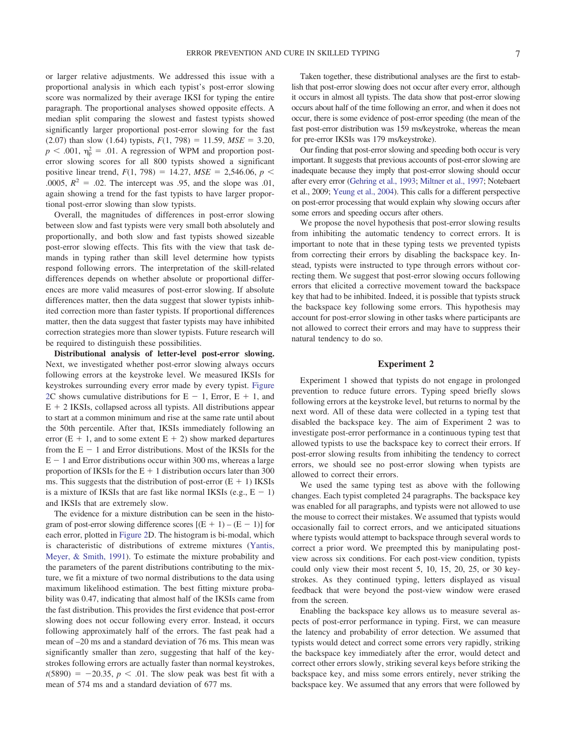or larger relative adjustments. We addressed this issue with a proportional analysis in which each typist's post-error slowing score was normalized by their average IKSI for typing the entire paragraph. The proportional analyses showed opposite effects. A median split comparing the slowest and fastest typists showed significantly larger proportional post-error slowing for the fast  $(2.07)$  than slow  $(1.64)$  typists,  $F(1, 798) = 11.59$ ,  $MSE = 3.20$ ,  $p < .001$ ,  $\eta_p^2 = .01$ . A regression of WPM and proportion posterror slowing scores for all 800 typists showed a significant positive linear trend,  $F(1, 798) = 14.27$ ,  $MSE = 2,546.06$ ,  $p <$ .0005,  $R^2 = .02$ . The intercept was .95, and the slope was .01, again showing a trend for the fast typists to have larger proportional post-error slowing than slow typists.

Overall, the magnitudes of differences in post-error slowing between slow and fast typists were very small both absolutely and proportionally, and both slow and fast typists showed sizeable post-error slowing effects. This fits with the view that task demands in typing rather than skill level determine how typists respond following errors. The interpretation of the skill-related differences depends on whether absolute or proportional differences are more valid measures of post-error slowing. If absolute differences matter, then the data suggest that slower typists inhibited correction more than faster typists. If proportional differences matter, then the data suggest that faster typists may have inhibited correction strategies more than slower typists. Future research will be required to distinguish these possibilities.

**Distributional analysis of letter-level post-error slowing.** Next, we investigated whether post-error slowing always occurs following errors at the keystroke level. We measured IKSIs for keystrokes surrounding every error made by every typist. Figure 2C shows cumulative distributions for  $E - 1$ , Error,  $E + 1$ , and  $E + 2$  IKSIs, collapsed across all typists. All distributions appear to start at a common minimum and rise at the same rate until about the 50th percentile. After that, IKSIs immediately following an error  $(E + 1)$ , and to some extent  $E + 2$ ) show marked departures from the  $E - 1$  and Error distributions. Most of the IKSIs for the  $E - 1$  and Error distributions occur within 300 ms, whereas a large proportion of IKSIs for the  $E + 1$  distribution occurs later than 300 ms. This suggests that the distribution of post-error  $(E + 1)$  IKSIs is a mixture of IKSIs that are fast like normal IKSIs (e.g.,  $E - 1$ ) and IKSIs that are extremely slow.

The evidence for a mixture distribution can be seen in the histogram of post-error slowing difference scores  $[(E + 1) - (E - 1)]$  for each error, plotted in Figure 2D. The histogram is bi-modal, which is characteristic of distributions of extreme mixtures (Yantis, Meyer, & Smith, 1991). To estimate the mixture probability and the parameters of the parent distributions contributing to the mixture, we fit a mixture of two normal distributions to the data using maximum likelihood estimation. The best fitting mixture probability was 0.47, indicating that almost half of the IKSIs came from the fast distribution. This provides the first evidence that post-error slowing does not occur following every error. Instead, it occurs following approximately half of the errors. The fast peak had a mean of –20 ms and a standard deviation of 76 ms. This mean was significantly smaller than zero, suggesting that half of the keystrokes following errors are actually faster than normal keystrokes,  $t(5890) = -20.35$ ,  $p < .01$ . The slow peak was best fit with a mean of 574 ms and a standard deviation of 677 ms.

Taken together, these distributional analyses are the first to establish that post-error slowing does not occur after every error, although it occurs in almost all typists. The data show that post-error slowing occurs about half of the time following an error, and when it does not occur, there is some evidence of post-error speeding (the mean of the fast post-error distribution was 159 ms/keystroke, whereas the mean for pre-error IKSIs was 179 ms/keystroke).

Our finding that post-error slowing and speeding both occur is very important. It suggests that previous accounts of post-error slowing are inadequate because they imply that post-error slowing should occur after every error (Gehring et al., 1993; Miltner et al., 1997; Notebaert et al., 2009; Yeung et al., 2004). This calls for a different perspective on post-error processing that would explain why slowing occurs after some errors and speeding occurs after others.

We propose the novel hypothesis that post-error slowing results from inhibiting the automatic tendency to correct errors. It is important to note that in these typing tests we prevented typists from correcting their errors by disabling the backspace key. Instead, typists were instructed to type through errors without correcting them. We suggest that post-error slowing occurs following errors that elicited a corrective movement toward the backspace key that had to be inhibited. Indeed, it is possible that typists struck the backspace key following some errors. This hypothesis may account for post-error slowing in other tasks where participants are not allowed to correct their errors and may have to suppress their natural tendency to do so.

## **Experiment 2**

Experiment 1 showed that typists do not engage in prolonged prevention to reduce future errors. Typing speed briefly slows following errors at the keystroke level, but returns to normal by the next word. All of these data were collected in a typing test that disabled the backspace key. The aim of Experiment 2 was to investigate post-error performance in a continuous typing test that allowed typists to use the backspace key to correct their errors. If post-error slowing results from inhibiting the tendency to correct errors, we should see no post-error slowing when typists are allowed to correct their errors.

We used the same typing test as above with the following changes. Each typist completed 24 paragraphs. The backspace key was enabled for all paragraphs, and typists were not allowed to use the mouse to correct their mistakes. We assumed that typists would occasionally fail to correct errors, and we anticipated situations where typists would attempt to backspace through several words to correct a prior word. We preempted this by manipulating postview across six conditions. For each post-view condition, typists could only view their most recent 5, 10, 15, 20, 25, or 30 keystrokes. As they continued typing, letters displayed as visual feedback that were beyond the post-view window were erased from the screen.

Enabling the backspace key allows us to measure several aspects of post-error performance in typing. First, we can measure the latency and probability of error detection. We assumed that typists would detect and correct some errors very rapidly, striking the backspace key immediately after the error, would detect and correct other errors slowly, striking several keys before striking the backspace key, and miss some errors entirely, never striking the backspace key. We assumed that any errors that were followed by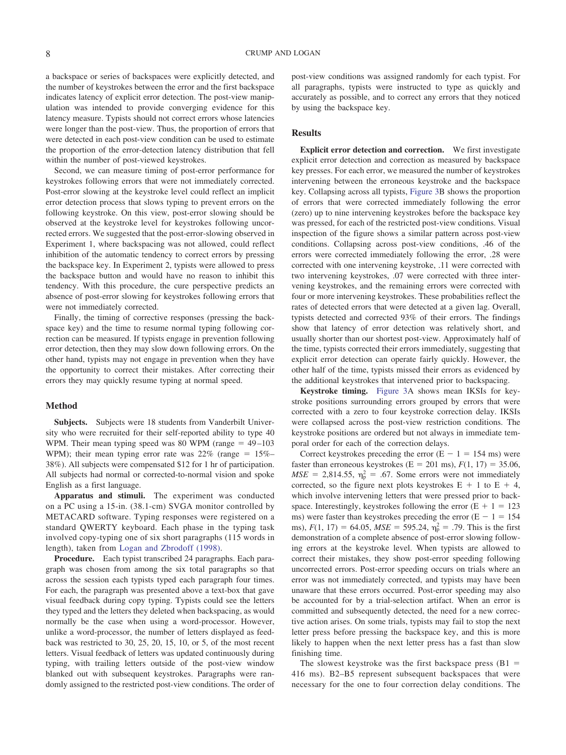a backspace or series of backspaces were explicitly detected, and the number of keystrokes between the error and the first backspace indicates latency of explicit error detection. The post-view manipulation was intended to provide converging evidence for this latency measure. Typists should not correct errors whose latencies were longer than the post-view. Thus, the proportion of errors that were detected in each post-view condition can be used to estimate the proportion of the error-detection latency distribution that fell within the number of post-viewed keystrokes.

Second, we can measure timing of post-error performance for keystrokes following errors that were not immediately corrected. Post-error slowing at the keystroke level could reflect an implicit error detection process that slows typing to prevent errors on the following keystroke. On this view, post-error slowing should be observed at the keystroke level for keystrokes following uncorrected errors. We suggested that the post-error-slowing observed in Experiment 1, where backspacing was not allowed, could reflect inhibition of the automatic tendency to correct errors by pressing the backspace key. In Experiment 2, typists were allowed to press the backspace button and would have no reason to inhibit this tendency. With this procedure, the cure perspective predicts an absence of post-error slowing for keystrokes following errors that were not immediately corrected.

Finally, the timing of corrective responses (pressing the backspace key) and the time to resume normal typing following correction can be measured. If typists engage in prevention following error detection, then they may slow down following errors. On the other hand, typists may not engage in prevention when they have the opportunity to correct their mistakes. After correcting their errors they may quickly resume typing at normal speed.

# **Method**

**Subjects.** Subjects were 18 students from Vanderbilt University who were recruited for their self-reported ability to type 40 WPM. Their mean typing speed was 80 WPM (range  $= 49-103$ ) WPM); their mean typing error rate was  $22\%$  (range =  $15\%$ – 38%). All subjects were compensated \$12 for 1 hr of participation. All subjects had normal or corrected-to-normal vision and spoke English as a first language.

**Apparatus and stimuli.** The experiment was conducted on a PC using a 15-in. (38.1-cm) SVGA monitor controlled by METACARD software. Typing responses were registered on a standard QWERTY keyboard. Each phase in the typing task involved copy-typing one of six short paragraphs (115 words in length), taken from Logan and Zbrodoff (1998).

**Procedure.** Each typist transcribed 24 paragraphs. Each paragraph was chosen from among the six total paragraphs so that across the session each typists typed each paragraph four times. For each, the paragraph was presented above a text-box that gave visual feedback during copy typing. Typists could see the letters they typed and the letters they deleted when backspacing, as would normally be the case when using a word-processor. However, unlike a word-processor, the number of letters displayed as feedback was restricted to 30, 25, 20, 15, 10, or 5, of the most recent letters. Visual feedback of letters was updated continuously during typing, with trailing letters outside of the post-view window blanked out with subsequent keystrokes. Paragraphs were randomly assigned to the restricted post-view conditions. The order of post-view conditions was assigned randomly for each typist. For all paragraphs, typists were instructed to type as quickly and accurately as possible, and to correct any errors that they noticed by using the backspace key.

# **Results**

**Explicit error detection and correction.** We first investigate explicit error detection and correction as measured by backspace key presses. For each error, we measured the number of keystrokes intervening between the erroneous keystroke and the backspace key. Collapsing across all typists, Figure 3B shows the proportion of errors that were corrected immediately following the error (zero) up to nine intervening keystrokes before the backspace key was pressed, for each of the restricted post-view conditions. Visual inspection of the figure shows a similar pattern across post-view conditions. Collapsing across post-view conditions, .46 of the errors were corrected immediately following the error, .28 were corrected with one intervening keystroke, .11 were corrected with two intervening keystrokes, .07 were corrected with three intervening keystrokes, and the remaining errors were corrected with four or more intervening keystrokes. These probabilities reflect the rates of detected errors that were detected at a given lag. Overall, typists detected and corrected 93% of their errors. The findings show that latency of error detection was relatively short, and usually shorter than our shortest post-view. Approximately half of the time, typists corrected their errors immediately, suggesting that explicit error detection can operate fairly quickly. However, the other half of the time, typists missed their errors as evidenced by the additional keystrokes that intervened prior to backspacing.

**Keystroke timing.** Figure 3A shows mean IKSIs for keystroke positions surrounding errors grouped by errors that were corrected with a zero to four keystroke correction delay. IKSIs were collapsed across the post-view restriction conditions. The keystroke positions are ordered but not always in immediate temporal order for each of the correction delays.

Correct keystrokes preceding the error  $(E - 1 = 154$  ms) were faster than erroneous keystrokes ( $E = 201$  ms),  $F(1, 17) = 35.06$ ,  $MSE = 2,814.55$ ,  $\eta_p^2 = .67$ . Some errors were not immediately corrected, so the figure next plots keystrokes  $E + 1$  to  $E + 4$ , which involve intervening letters that were pressed prior to backspace. Interestingly, keystrokes following the error  $(E + 1 = 123)$ ms) were faster than keystrokes preceding the error  $(E - 1 = 154)$ ms),  $F(1, 17) = 64.05$ ,  $MSE = 595.24$ ,  $\eta_p^2 = .79$ . This is the first demonstration of a complete absence of post-error slowing following errors at the keystroke level. When typists are allowed to correct their mistakes, they show post-error speeding following uncorrected errors. Post-error speeding occurs on trials where an error was not immediately corrected, and typists may have been unaware that these errors occurred. Post-error speeding may also be accounted for by a trial-selection artifact. When an error is committed and subsequently detected, the need for a new corrective action arises. On some trials, typists may fail to stop the next letter press before pressing the backspace key, and this is more likely to happen when the next letter press has a fast than slow finishing time.

The slowest keystroke was the first backspace press  $(B1 =$ 416 ms). B2–B5 represent subsequent backspaces that were necessary for the one to four correction delay conditions. The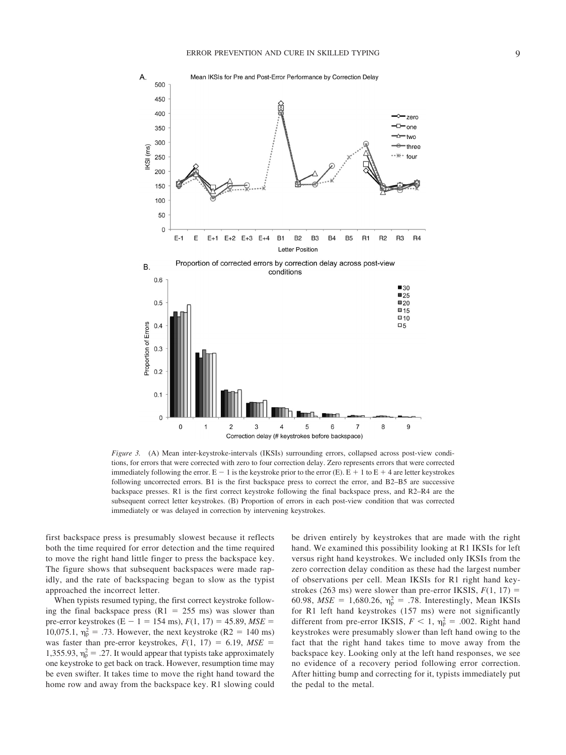

*Figure 3.* (A) Mean inter-keystroke-intervals (IKSIs) surrounding errors, collapsed across post-view conditions, for errors that were corrected with zero to four correction delay. Zero represents errors that were corrected immediately following the error.  $E - 1$  is the keystroke prior to the error  $(E)$ .  $E + 1$  to  $E + 4$  are letter keystrokes following uncorrected errors. B1 is the first backspace press to correct the error, and B2–B5 are successive backspace presses. R1 is the first correct keystroke following the final backspace press, and R2–R4 are the subsequent correct letter keystrokes. (B) Proportion of errors in each post-view condition that was corrected immediately or was delayed in correction by intervening keystrokes.

first backspace press is presumably slowest because it reflects both the time required for error detection and the time required to move the right hand little finger to press the backspace key. The figure shows that subsequent backspaces were made rapidly, and the rate of backspacing began to slow as the typist approached the incorrect letter.

When typists resumed typing, the first correct keystroke following the final backspace press  $(R1 = 255 \text{ ms})$  was slower than pre-error keystrokes ( $E - 1 = 154$  ms),  $F(1, 17) = 45.89$ ,  $MSE =$ 10,075.1,  $\eta_{\rm p}^2$  = .73. However, the next keystroke (R2 = 140 ms) was faster than pre-error keystrokes,  $F(1, 17) = 6.19$ ,  $MSE =$ 1,355.93,  $\eta_p^2 = .27$ . It would appear that typists take approximately one keystroke to get back on track. However, resumption time may be even swifter. It takes time to move the right hand toward the home row and away from the backspace key. R1 slowing could be driven entirely by keystrokes that are made with the right hand. We examined this possibility looking at R1 IKSIs for left versus right hand keystrokes. We included only IKSIs from the zero correction delay condition as these had the largest number of observations per cell. Mean IKSIs for R1 right hand keystrokes (263 ms) were slower than pre-error IKSIS,  $F(1, 17) =$ 60.98,  $MSE = 1,680.26, \eta_p^2 = .78$ . Interestingly, Mean IKSIs for R1 left hand keystrokes (157 ms) were not significantly different from pre-error IKSIS,  $F < 1$ ,  $\eta_p^2 = .002$ . Right hand keystrokes were presumably slower than left hand owing to the fact that the right hand takes time to move away from the backspace key. Looking only at the left hand responses, we see no evidence of a recovery period following error correction. After hitting bump and correcting for it, typists immediately put the pedal to the metal.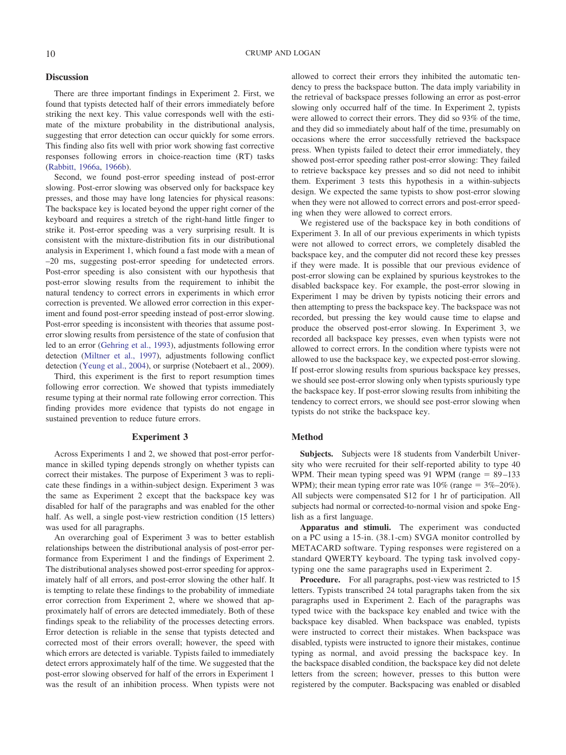# **Discussion**

There are three important findings in Experiment 2. First, we found that typists detected half of their errors immediately before striking the next key. This value corresponds well with the estimate of the mixture probability in the distributional analysis, suggesting that error detection can occur quickly for some errors. This finding also fits well with prior work showing fast corrective responses following errors in choice-reaction time (RT) tasks (Rabbitt, 1966a, 1966b).

Second, we found post-error speeding instead of post-error slowing. Post-error slowing was observed only for backspace key presses, and those may have long latencies for physical reasons: The backspace key is located beyond the upper right corner of the keyboard and requires a stretch of the right-hand little finger to strike it. Post-error speeding was a very surprising result. It is consistent with the mixture-distribution fits in our distributional analysis in Experiment 1, which found a fast mode with a mean of –20 ms, suggesting post-error speeding for undetected errors. Post-error speeding is also consistent with our hypothesis that post-error slowing results from the requirement to inhibit the natural tendency to correct errors in experiments in which error correction is prevented. We allowed error correction in this experiment and found post-error speeding instead of post-error slowing. Post-error speeding is inconsistent with theories that assume posterror slowing results from persistence of the state of confusion that led to an error (Gehring et al., 1993), adjustments following error detection (Miltner et al., 1997), adjustments following conflict detection (Yeung et al., 2004), or surprise (Notebaert et al., 2009).

Third, this experiment is the first to report resumption times following error correction. We showed that typists immediately resume typing at their normal rate following error correction. This finding provides more evidence that typists do not engage in sustained prevention to reduce future errors.

#### **Experiment 3**

Across Experiments 1 and 2, we showed that post-error performance in skilled typing depends strongly on whether typists can correct their mistakes. The purpose of Experiment 3 was to replicate these findings in a within-subject design. Experiment 3 was the same as Experiment 2 except that the backspace key was disabled for half of the paragraphs and was enabled for the other half. As well, a single post-view restriction condition (15 letters) was used for all paragraphs.

An overarching goal of Experiment 3 was to better establish relationships between the distributional analysis of post-error performance from Experiment 1 and the findings of Experiment 2. The distributional analyses showed post-error speeding for approximately half of all errors, and post-error slowing the other half. It is tempting to relate these findings to the probability of immediate error correction from Experiment 2, where we showed that approximately half of errors are detected immediately. Both of these findings speak to the reliability of the processes detecting errors. Error detection is reliable in the sense that typists detected and corrected most of their errors overall; however, the speed with which errors are detected is variable. Typists failed to immediately detect errors approximately half of the time. We suggested that the post-error slowing observed for half of the errors in Experiment 1 was the result of an inhibition process. When typists were not allowed to correct their errors they inhibited the automatic tendency to press the backspace button. The data imply variability in the retrieval of backspace presses following an error as post-error slowing only occurred half of the time. In Experiment 2, typists were allowed to correct their errors. They did so 93% of the time, and they did so immediately about half of the time, presumably on occasions where the error successfully retrieved the backspace press. When typists failed to detect their error immediately, they showed post-error speeding rather post-error slowing: They failed to retrieve backspace key presses and so did not need to inhibit them. Experiment 3 tests this hypothesis in a within-subjects design. We expected the same typists to show post-error slowing when they were not allowed to correct errors and post-error speeding when they were allowed to correct errors.

We registered use of the backspace key in both conditions of Experiment 3. In all of our previous experiments in which typists were not allowed to correct errors, we completely disabled the backspace key, and the computer did not record these key presses if they were made. It is possible that our previous evidence of post-error slowing can be explained by spurious keystrokes to the disabled backspace key. For example, the post-error slowing in Experiment 1 may be driven by typists noticing their errors and then attempting to press the backspace key. The backspace was not recorded, but pressing the key would cause time to elapse and produce the observed post-error slowing. In Experiment 3, we recorded all backspace key presses, even when typists were not allowed to correct errors. In the condition where typists were not allowed to use the backspace key, we expected post-error slowing. If post-error slowing results from spurious backspace key presses, we should see post-error slowing only when typists spuriously type the backspace key. If post-error slowing results from inhibiting the tendency to correct errors, we should see post-error slowing when typists do not strike the backspace key.

# **Method**

**Subjects.** Subjects were 18 students from Vanderbilt University who were recruited for their self-reported ability to type 40 WPM. Their mean typing speed was 91 WPM (range  $= 89-133$ ) WPM); their mean typing error rate was  $10\%$  (range =  $3\%$ -20%). All subjects were compensated \$12 for 1 hr of participation. All subjects had normal or corrected-to-normal vision and spoke English as a first language.

**Apparatus and stimuli.** The experiment was conducted on a PC using a 15-in. (38.1-cm) SVGA monitor controlled by METACARD software. Typing responses were registered on a standard QWERTY keyboard. The typing task involved copytyping one the same paragraphs used in Experiment 2.

**Procedure.** For all paragraphs, post-view was restricted to 15 letters. Typists transcribed 24 total paragraphs taken from the six paragraphs used in Experiment 2. Each of the paragraphs was typed twice with the backspace key enabled and twice with the backspace key disabled. When backspace was enabled, typists were instructed to correct their mistakes. When backspace was disabled, typists were instructed to ignore their mistakes, continue typing as normal, and avoid pressing the backspace key. In the backspace disabled condition, the backspace key did not delete letters from the screen; however, presses to this button were registered by the computer. Backspacing was enabled or disabled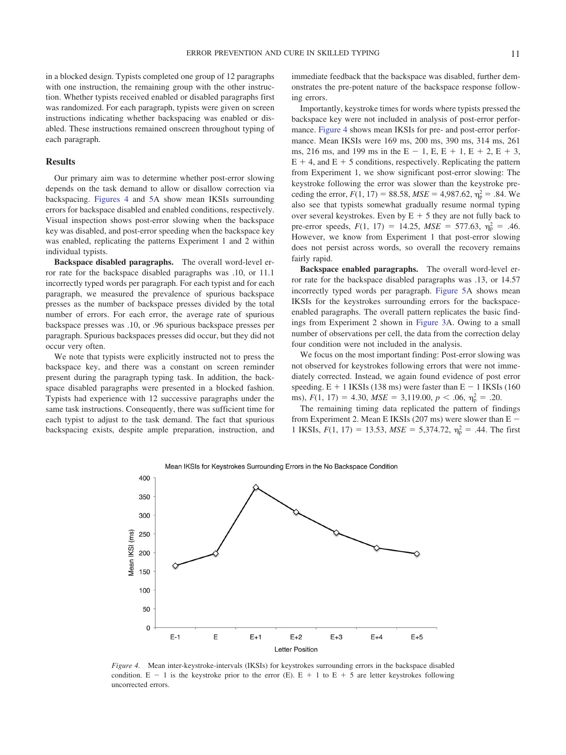in a blocked design. Typists completed one group of 12 paragraphs with one instruction, the remaining group with the other instruction. Whether typists received enabled or disabled paragraphs first was randomized. For each paragraph, typists were given on screen instructions indicating whether backspacing was enabled or disabled. These instructions remained onscreen throughout typing of each paragraph.

# **Results**

Our primary aim was to determine whether post-error slowing depends on the task demand to allow or disallow correction via backspacing. Figures 4 and 5A show mean IKSIs surrounding errors for backspace disabled and enabled conditions, respectively. Visual inspection shows post-error slowing when the backspace key was disabled, and post-error speeding when the backspace key was enabled, replicating the patterns Experiment 1 and 2 within individual typists.

**Backspace disabled paragraphs.** The overall word-level error rate for the backspace disabled paragraphs was .10, or 11.1 incorrectly typed words per paragraph. For each typist and for each paragraph, we measured the prevalence of spurious backspace presses as the number of backspace presses divided by the total number of errors. For each error, the average rate of spurious backspace presses was .10, or .96 spurious backspace presses per paragraph. Spurious backspaces presses did occur, but they did not occur very often.

We note that typists were explicitly instructed not to press the backspace key, and there was a constant on screen reminder present during the paragraph typing task. In addition, the backspace disabled paragraphs were presented in a blocked fashion. Typists had experience with 12 successive paragraphs under the same task instructions. Consequently, there was sufficient time for each typist to adjust to the task demand. The fact that spurious backspacing exists, despite ample preparation, instruction, and

immediate feedback that the backspace was disabled, further demonstrates the pre-potent nature of the backspace response following errors.

Importantly, keystroke times for words where typists pressed the backspace key were not included in analysis of post-error performance. Figure 4 shows mean IKSIs for pre- and post-error performance. Mean IKSIs were 169 ms, 200 ms, 390 ms, 314 ms, 261 ms, 216 ms, and 199 ms in the  $E - 1$ ,  $E$ ,  $E + 1$ ,  $E + 2$ ,  $E + 3$ ,  $E + 4$ , and  $E + 5$  conditions, respectively. Replicating the pattern from Experiment 1, we show significant post-error slowing: The keystroke following the error was slower than the keystroke preceding the error,  $F(1, 17) = 88.58$ ,  $MSE = 4.987.62$ ,  $\eta_p^2 = .84$ . We also see that typists somewhat gradually resume normal typing over several keystrokes. Even by  $E + 5$  they are not fully back to pre-error speeds,  $F(1, 17) = 14.25$ ,  $MSE = 577.63$ ,  $\eta_p^2 = .46$ . However, we know from Experiment 1 that post-error slowing does not persist across words, so overall the recovery remains fairly rapid.

**Backspace enabled paragraphs.** The overall word-level error rate for the backspace disabled paragraphs was .13, or 14.57 incorrectly typed words per paragraph. Figure 5A shows mean IKSIs for the keystrokes surrounding errors for the backspaceenabled paragraphs. The overall pattern replicates the basic findings from Experiment 2 shown in Figure 3A. Owing to a small number of observations per cell, the data from the correction delay four condition were not included in the analysis.

We focus on the most important finding: Post-error slowing was not observed for keystrokes following errors that were not immediately corrected. Instead, we again found evidence of post error speeding.  $E + 1$  IKSIs (138 ms) were faster than  $E - 1$  IKSIs (160 ms),  $F(1, 17) = 4.30$ ,  $MSE = 3,119.00$ ,  $p < .06$ ,  $\eta_p^2 = .20$ .

The remaining timing data replicated the pattern of findings from Experiment 2. Mean E IKSIs (207 ms) were slower than  $E -$ 1 IKSIs,  $F(1, 17) = 13.53$ ,  $MSE = 5,374.72$ ,  $\eta_p^2 = .44$ . The first



*Figure 4.* Mean inter-keystroke-intervals (IKSIs) for keystrokes surrounding errors in the backspace disabled condition.  $E - 1$  is the keystroke prior to the error (E).  $E + 1$  to  $E + 5$  are letter keystrokes following uncorrected errors.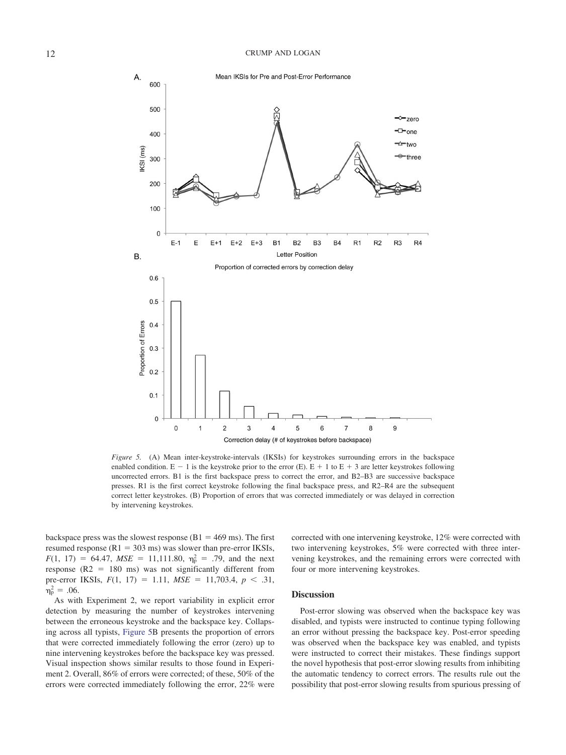

*Figure 5.* (A) Mean inter-keystroke-intervals (IKSIs) for keystrokes surrounding errors in the backspace enabled condition.  $E - 1$  is the keystroke prior to the error (E).  $E + 1$  to  $E + 3$  are letter keystrokes following uncorrected errors. B1 is the first backspace press to correct the error, and B2–B3 are successive backspace presses. R1 is the first correct keystroke following the final backspace press, and R2–R4 are the subsequent correct letter keystrokes. (B) Proportion of errors that was corrected immediately or was delayed in correction by intervening keystrokes.

backspace press was the slowest response  $(B1 = 469 \text{ ms})$ . The first resumed response ( $R1 = 303$  ms) was slower than pre-error IKSIs,  $F(1, 17) = 64.47$ ,  $MSE = 11,111.80$ ,  $\eta_p^2 = .79$ , and the next response ( $R2 = 180$  ms) was not significantly different from pre-error IKSIs,  $F(1, 17) = 1.11$ ,  $MSE = 11,703.4$ ,  $p < .31$ ,  $\eta_{\rm p}^2 = .06$ .

As with Experiment 2, we report variability in explicit error detection by measuring the number of keystrokes intervening between the erroneous keystroke and the backspace key. Collapsing across all typists, Figure 5B presents the proportion of errors that were corrected immediately following the error (zero) up to nine intervening keystrokes before the backspace key was pressed. Visual inspection shows similar results to those found in Experiment 2. Overall, 86% of errors were corrected; of these, 50% of the errors were corrected immediately following the error, 22% were

corrected with one intervening keystroke, 12% were corrected with two intervening keystrokes, 5% were corrected with three intervening keystrokes, and the remaining errors were corrected with four or more intervening keystrokes.

# **Discussion**

Post-error slowing was observed when the backspace key was disabled, and typists were instructed to continue typing following an error without pressing the backspace key. Post-error speeding was observed when the backspace key was enabled, and typists were instructed to correct their mistakes. These findings support the novel hypothesis that post-error slowing results from inhibiting the automatic tendency to correct errors. The results rule out the possibility that post-error slowing results from spurious pressing of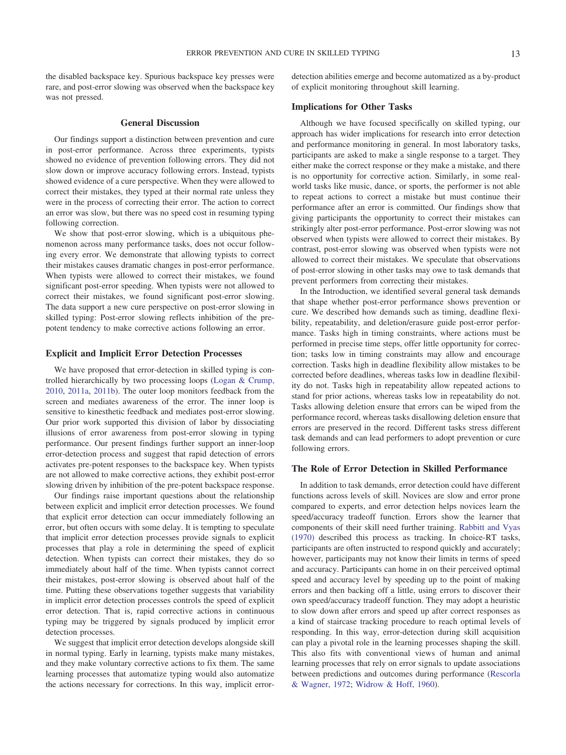the disabled backspace key. Spurious backspace key presses were rare, and post-error slowing was observed when the backspace key was not pressed.

# **General Discussion**

Our findings support a distinction between prevention and cure in post-error performance. Across three experiments, typists showed no evidence of prevention following errors. They did not slow down or improve accuracy following errors. Instead, typists showed evidence of a cure perspective. When they were allowed to correct their mistakes, they typed at their normal rate unless they were in the process of correcting their error. The action to correct an error was slow, but there was no speed cost in resuming typing following correction.

We show that post-error slowing, which is a ubiquitous phenomenon across many performance tasks, does not occur following every error. We demonstrate that allowing typists to correct their mistakes causes dramatic changes in post-error performance. When typists were allowed to correct their mistakes, we found significant post-error speeding. When typists were not allowed to correct their mistakes, we found significant post-error slowing. The data support a new cure perspective on post-error slowing in skilled typing: Post-error slowing reflects inhibition of the prepotent tendency to make corrective actions following an error.

#### **Explicit and Implicit Error Detection Processes**

We have proposed that error-detection in skilled typing is controlled hierarchically by two processing loops (Logan & Crump, 2010, 2011a, 2011b). The outer loop monitors feedback from the screen and mediates awareness of the error. The inner loop is sensitive to kinesthetic feedback and mediates post-error slowing. Our prior work supported this division of labor by dissociating illusions of error awareness from post-error slowing in typing performance. Our present findings further support an inner-loop error-detection process and suggest that rapid detection of errors activates pre-potent responses to the backspace key. When typists are not allowed to make corrective actions, they exhibit post-error slowing driven by inhibition of the pre-potent backspace response.

Our findings raise important questions about the relationship between explicit and implicit error detection processes. We found that explicit error detection can occur immediately following an error, but often occurs with some delay. It is tempting to speculate that implicit error detection processes provide signals to explicit processes that play a role in determining the speed of explicit detection. When typists can correct their mistakes, they do so immediately about half of the time. When typists cannot correct their mistakes, post-error slowing is observed about half of the time. Putting these observations together suggests that variability in implicit error detection processes controls the speed of explicit error detection. That is, rapid corrective actions in continuous typing may be triggered by signals produced by implicit error detection processes.

We suggest that implicit error detection develops alongside skill in normal typing. Early in learning, typists make many mistakes, and they make voluntary corrective actions to fix them. The same learning processes that automatize typing would also automatize the actions necessary for corrections. In this way, implicit errordetection abilities emerge and become automatized as a by-product of explicit monitoring throughout skill learning.

#### **Implications for Other Tasks**

Although we have focused specifically on skilled typing, our approach has wider implications for research into error detection and performance monitoring in general. In most laboratory tasks, participants are asked to make a single response to a target. They either make the correct response or they make a mistake, and there is no opportunity for corrective action. Similarly, in some realworld tasks like music, dance, or sports, the performer is not able to repeat actions to correct a mistake but must continue their performance after an error is committed. Our findings show that giving participants the opportunity to correct their mistakes can strikingly alter post-error performance. Post-error slowing was not observed when typists were allowed to correct their mistakes. By contrast, post-error slowing was observed when typists were not allowed to correct their mistakes. We speculate that observations of post-error slowing in other tasks may owe to task demands that prevent performers from correcting their mistakes.

In the Introduction, we identified several general task demands that shape whether post-error performance shows prevention or cure. We described how demands such as timing, deadline flexibility, repeatability, and deletion/erasure guide post-error performance. Tasks high in timing constraints, where actions must be performed in precise time steps, offer little opportunity for correction; tasks low in timing constraints may allow and encourage correction. Tasks high in deadline flexibility allow mistakes to be corrected before deadlines, whereas tasks low in deadline flexibility do not. Tasks high in repeatability allow repeated actions to stand for prior actions, whereas tasks low in repeatability do not. Tasks allowing deletion ensure that errors can be wiped from the performance record, whereas tasks disallowing deletion ensure that errors are preserved in the record. Different tasks stress different task demands and can lead performers to adopt prevention or cure following errors.

#### **The Role of Error Detection in Skilled Performance**

In addition to task demands, error detection could have different functions across levels of skill. Novices are slow and error prone compared to experts, and error detection helps novices learn the speed/accuracy tradeoff function. Errors show the learner that components of their skill need further training. Rabbitt and Vyas (1970) described this process as tracking. In choice-RT tasks, participants are often instructed to respond quickly and accurately; however, participants may not know their limits in terms of speed and accuracy. Participants can home in on their perceived optimal speed and accuracy level by speeding up to the point of making errors and then backing off a little, using errors to discover their own speed/accuracy tradeoff function. They may adopt a heuristic to slow down after errors and speed up after correct responses as a kind of staircase tracking procedure to reach optimal levels of responding. In this way, error-detection during skill acquisition can play a pivotal role in the learning processes shaping the skill. This also fits with conventional views of human and animal learning processes that rely on error signals to update associations between predictions and outcomes during performance (Rescorla & Wagner, 1972; Widrow & Hoff, 1960).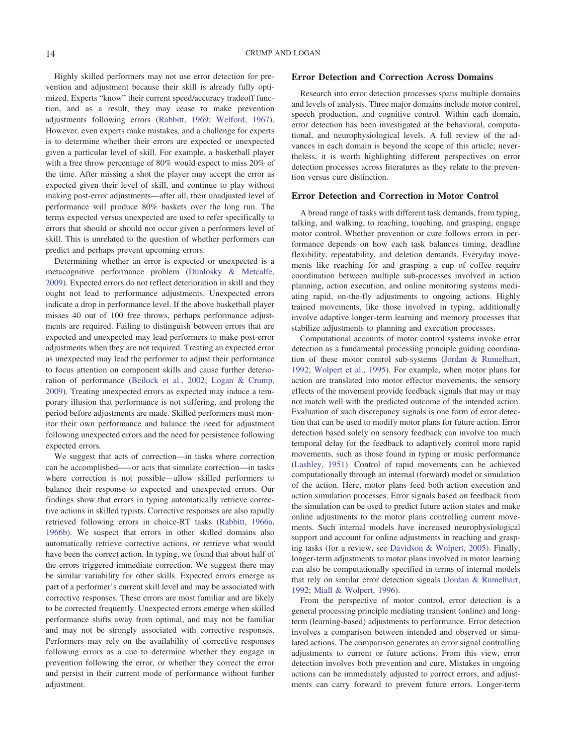Highly skilled performers may not use error detection for prevention and adjustment because their skill is already fully optimized. Experts "know" their current speed/accuracy tradeoff function, and as a result, they may cease to make prevention adjustments following errors (Rabbitt, 1969; Welford, 1967). However, even experts make mistakes, and a challenge for experts is to determine whether their errors are expected or unexpected given a particular level of skill. For example, a basketball player with a free throw percentage of 80% would expect to miss 20% of the time. After missing a shot the player may accept the error as expected given their level of skill, and continue to play without making post-error adjustments—after all, their unadjusted level of performance will produce 80% baskets over the long run. The terms expected versus unexpected are used to refer specifically to errors that should or should not occur given a performers level of skill. This is unrelated to the question of whether performers can predict and perhaps prevent upcoming errors.

Determining whether an error is expected or unexpected is a metacognitive performance problem (Dunlosky & Metcalfe, 2009). Expected errors do not reflect deterioration in skill and they ought not lead to performance adjustments. Unexpected errors indicate a drop in performance level. If the above basketball player misses 40 out of 100 free throws, perhaps performance adjustments are required. Failing to distinguish between errors that are expected and unexpected may lead performers to make post-error adjustments when they are not required. Treating an expected error as unexpected may lead the performer to adjust their performance to focus attention on component skills and cause further deterioration of performance (Beilock et al., 2002; Logan & Crump, 2009). Treating unexpected errors as expected may induce a temporary illusion that performance is not suffering, and prolong the period before adjustments are made. Skilled performers must monitor their own performance and balance the need for adjustment following unexpected errors and the need for persistence following expected errors.

We suggest that acts of correction—in tasks where correction can be accomplished–— or acts that simulate correction—in tasks where correction is not possible—allow skilled performers to balance their response to expected and unexpected errors. Our findings show that errors in typing automatically retrieve corrective actions in skilled typists. Corrective responses are also rapidly retrieved following errors in choice-RT tasks (Rabbitt, 1966a, 1966b). We suspect that errors in other skilled domains also automatically retrieve corrective actions, or retrieve what would have been the correct action. In typing, we found that about half of the errors triggered immediate correction. We suggest there may be similar variability for other skills. Expected errors emerge as part of a performer's current skill level and may be associated with corrective responses. These errors are most familiar and are likely to be corrected frequently. Unexpected errors emerge when skilled performance shifts away from optimal, and may not be familiar and may not be strongly associated with corrective responses. Performers may rely on the availability of corrective responses following errors as a cue to determine whether they engage in prevention following the error, or whether they correct the error and persist in their current mode of performance without further adjustment.

#### **Error Detection and Correction Across Domains**

Research into error detection processes spans multiple domains and levels of analysis. Three major domains include motor control, speech production, and cognitive control. Within each domain, error detection has been investigated at the behavioral, computational, and neurophysiological levels. A full review of the advances in each domain is beyond the scope of this article; nevertheless, it is worth highlighting different perspectives on error detection processes across literatures as they relate to the prevention versus cure distinction.

# **Error Detection and Correction in Motor Control**

A broad range of tasks with different task demands, from typing, talking, and walking, to reaching, touching, and grasping, engage motor control. Whether prevention or cure follows errors in performance depends on how each task balances timing, deadline flexibility, repeatability, and deletion demands. Everyday movements like reaching for and grasping a cup of coffee require coordination between multiple sub-processes involved in action planning, action execution, and online monitoring systems mediating rapid, on-the-fly adjustments to ongoing actions. Highly trained movements, like those involved in typing, additionally involve adaptive longer-term learning and memory processes that stabilize adjustments to planning and execution processes.

Computational accounts of motor control systems invoke error detection as a fundamental processing principle guiding coordination of these motor control sub-systems (Jordan & Rumelhart, 1992; Wolpert et al., 1995). For example, when motor plans for action are translated into motor effector movements, the sensory effects of the movement provide feedback signals that may or may not match well with the predicted outcome of the intended action. Evaluation of such discrepancy signals is one form of error detection that can be used to modify motor plans for future action. Error detection based solely on sensory feedback can involve too much temporal delay for the feedback to adaptively control more rapid movements, such as those found in typing or music performance (Lashley, 1951). Control of rapid movements can be achieved computationally through an internal (forward) model or simulation of the action. Here, motor plans feed both action execution and action simulation processes. Error signals based on feedback from the simulation can be used to predict future action states and make online adjustments to the motor plans controlling current movements. Such internal models have increased neurophysiological support and account for online adjustments in reaching and grasping tasks (for a review, see Davidson & Wolpert, 2005). Finally, longer-term adjustments to motor plans involved in motor learning can also be computationally specified in terms of internal models that rely on similar error detection signals (Jordan & Rumelhart, 1992; Miall & Wolpert, 1996).

From the perspective of motor control, error detection is a general processing principle mediating transient (online) and longterm (learning-based) adjustments to performance. Error detection involves a comparison between intended and observed or simulated actions. The comparison generates an error signal controlling adjustments to current or future actions. From this view, error detection involves both prevention and cure. Mistakes in ongoing actions can be immediately adjusted to correct errors, and adjustments can carry forward to prevent future errors. Longer-term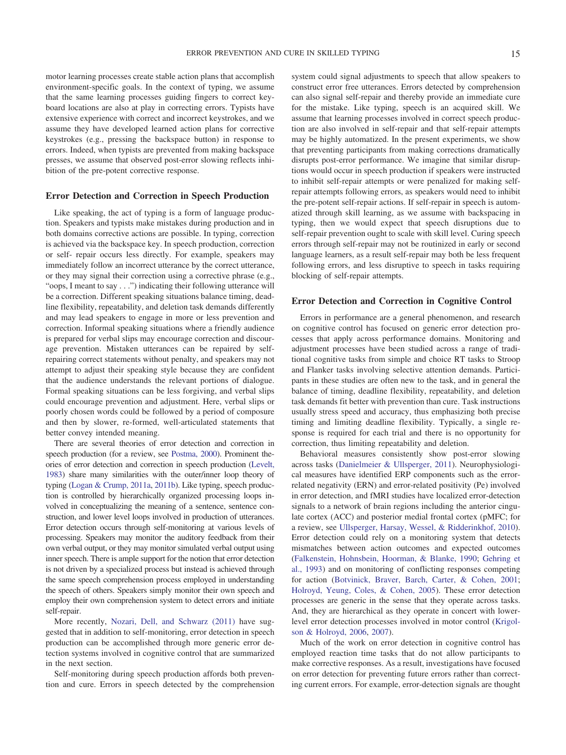motor learning processes create stable action plans that accomplish environment-specific goals. In the context of typing, we assume that the same learning processes guiding fingers to correct keyboard locations are also at play in correcting errors. Typists have extensive experience with correct and incorrect keystrokes, and we assume they have developed learned action plans for corrective keystrokes (e.g., pressing the backspace button) in response to errors. Indeed, when typists are prevented from making backspace presses, we assume that observed post-error slowing reflects inhibition of the pre-potent corrective response.

# **Error Detection and Correction in Speech Production**

Like speaking, the act of typing is a form of language production. Speakers and typists make mistakes during production and in both domains corrective actions are possible. In typing, correction is achieved via the backspace key. In speech production, correction or self- repair occurs less directly. For example, speakers may immediately follow an incorrect utterance by the correct utterance, or they may signal their correction using a corrective phrase (e.g., "oops, I meant to say . . .") indicating their following utterance will be a correction. Different speaking situations balance timing, deadline flexibility, repeatability, and deletion task demands differently and may lead speakers to engage in more or less prevention and correction. Informal speaking situations where a friendly audience is prepared for verbal slips may encourage correction and discourage prevention. Mistaken utterances can be repaired by selfrepairing correct statements without penalty, and speakers may not attempt to adjust their speaking style because they are confident that the audience understands the relevant portions of dialogue. Formal speaking situations can be less forgiving, and verbal slips could encourage prevention and adjustment. Here, verbal slips or poorly chosen words could be followed by a period of composure and then by slower, re-formed, well-articulated statements that better convey intended meaning.

There are several theories of error detection and correction in speech production (for a review, see Postma, 2000). Prominent theories of error detection and correction in speech production (Levelt, 1983) share many similarities with the outer/inner loop theory of typing (Logan & Crump, 2011a, 2011b). Like typing, speech production is controlled by hierarchically organized processing loops involved in conceptualizing the meaning of a sentence, sentence construction, and lower level loops involved in production of utterances. Error detection occurs through self-monitoring at various levels of processing. Speakers may monitor the auditory feedback from their own verbal output, or they may monitor simulated verbal output using inner speech. There is ample support for the notion that error detection is not driven by a specialized process but instead is achieved through the same speech comprehension process employed in understanding the speech of others. Speakers simply monitor their own speech and employ their own comprehension system to detect errors and initiate self-repair.

More recently, Nozari, Dell, and Schwarz (2011) have suggested that in addition to self-monitoring, error detection in speech production can be accomplished through more generic error detection systems involved in cognitive control that are summarized in the next section.

Self-monitoring during speech production affords both prevention and cure. Errors in speech detected by the comprehension system could signal adjustments to speech that allow speakers to construct error free utterances. Errors detected by comprehension can also signal self-repair and thereby provide an immediate cure for the mistake. Like typing, speech is an acquired skill. We assume that learning processes involved in correct speech production are also involved in self-repair and that self-repair attempts may be highly automatized. In the present experiments, we show that preventing participants from making corrections dramatically disrupts post-error performance. We imagine that similar disruptions would occur in speech production if speakers were instructed to inhibit self-repair attempts or were penalized for making selfrepair attempts following errors, as speakers would need to inhibit the pre-potent self-repair actions. If self-repair in speech is automatized through skill learning, as we assume with backspacing in typing, then we would expect that speech disruptions due to self-repair prevention ought to scale with skill level. Curing speech errors through self-repair may not be routinized in early or second language learners, as a result self-repair may both be less frequent following errors, and less disruptive to speech in tasks requiring blocking of self-repair attempts.

#### **Error Detection and Correction in Cognitive Control**

Errors in performance are a general phenomenon, and research on cognitive control has focused on generic error detection processes that apply across performance domains. Monitoring and adjustment processes have been studied across a range of traditional cognitive tasks from simple and choice RT tasks to Stroop and Flanker tasks involving selective attention demands. Participants in these studies are often new to the task, and in general the balance of timing, deadline flexibility, repeatability, and deletion task demands fit better with prevention than cure. Task instructions usually stress speed and accuracy, thus emphasizing both precise timing and limiting deadline flexibility. Typically, a single response is required for each trial and there is no opportunity for correction, thus limiting repeatability and deletion.

Behavioral measures consistently show post-error slowing across tasks (Danielmeier & Ullsperger, 2011). Neurophysiological measures have identified ERP components such as the errorrelated negativity (ERN) and error-related positivity (Pe) involved in error detection, and fMRI studies have localized error-detection signals to a network of brain regions including the anterior cingulate cortex (ACC) and posterior medial frontal cortex (pMFC; for a review, see Ullsperger, Harsay, Wessel, & Ridderinkhof, 2010). Error detection could rely on a monitoring system that detects mismatches between action outcomes and expected outcomes (Falkenstein, Hohnsbein, Hoorman, & Blanke, 1990; Gehring et al., 1993) and on monitoring of conflicting responses competing for action (Botvinick, Braver, Barch, Carter, & Cohen, 2001; Holroyd, Yeung, Coles, & Cohen, 2005). These error detection processes are generic in the sense that they operate across tasks. And, they are hierarchical as they operate in concert with lowerlevel error detection processes involved in motor control (Krigolson & Holroyd, 2006, 2007).

Much of the work on error detection in cognitive control has employed reaction time tasks that do not allow participants to make corrective responses. As a result, investigations have focused on error detection for preventing future errors rather than correcting current errors. For example, error-detection signals are thought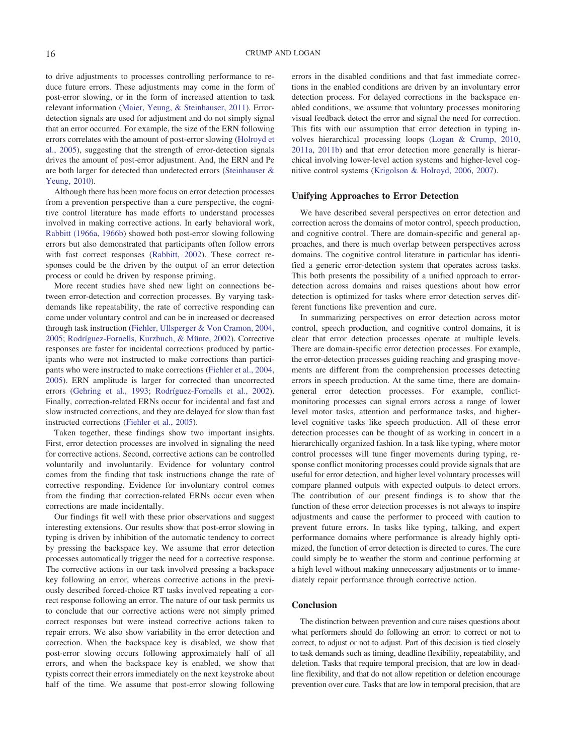to drive adjustments to processes controlling performance to reduce future errors. These adjustments may come in the form of post-error slowing, or in the form of increased attention to task relevant information (Maier, Yeung, & Steinhauser, 2011). Errordetection signals are used for adjustment and do not simply signal that an error occurred. For example, the size of the ERN following errors correlates with the amount of post-error slowing (Holroyd et al., 2005), suggesting that the strength of error-detection signals drives the amount of post-error adjustment. And, the ERN and Pe are both larger for detected than undetected errors (Steinhauser & Yeung, 2010).

Although there has been more focus on error detection processes from a prevention perspective than a cure perspective, the cognitive control literature has made efforts to understand processes involved in making corrective actions. In early behavioral work, Rabbitt (1966a, 1966b) showed both post-error slowing following errors but also demonstrated that participants often follow errors with fast correct responses (Rabbitt, 2002). These correct responses could be the driven by the output of an error detection process or could be driven by response priming.

More recent studies have shed new light on connections between error-detection and correction processes. By varying taskdemands like repeatability, the rate of corrective responding can come under voluntary control and can be in increased or decreased through task instruction (Fiehler, Ullsperger & Von Cramon, 2004, 2005; Rodríguez-Fornells, Kurzbuch, & Münte, 2002). Corrective responses are faster for incidental corrections produced by participants who were not instructed to make corrections than participants who were instructed to make corrections (Fiehler et al., 2004, 2005). ERN amplitude is larger for corrected than uncorrected errors (Gehring et al., 1993; Rodríguez-Fornells et al., 2002). Finally, correction-related ERNs occur for incidental and fast and slow instructed corrections, and they are delayed for slow than fast instructed corrections (Fiehler et al., 2005).

Taken together, these findings show two important insights. First, error detection processes are involved in signaling the need for corrective actions. Second, corrective actions can be controlled voluntarily and involuntarily. Evidence for voluntary control comes from the finding that task instructions change the rate of corrective responding. Evidence for involuntary control comes from the finding that correction-related ERNs occur even when corrections are made incidentally.

Our findings fit well with these prior observations and suggest interesting extensions. Our results show that post-error slowing in typing is driven by inhibition of the automatic tendency to correct by pressing the backspace key. We assume that error detection processes automatically trigger the need for a corrective response. The corrective actions in our task involved pressing a backspace key following an error, whereas corrective actions in the previously described forced-choice RT tasks involved repeating a correct response following an error. The nature of our task permits us to conclude that our corrective actions were not simply primed correct responses but were instead corrective actions taken to repair errors. We also show variability in the error detection and correction. When the backspace key is disabled, we show that post-error slowing occurs following approximately half of all errors, and when the backspace key is enabled, we show that typists correct their errors immediately on the next keystroke about half of the time. We assume that post-error slowing following

errors in the disabled conditions and that fast immediate corrections in the enabled conditions are driven by an involuntary error detection process. For delayed corrections in the backspace enabled conditions, we assume that voluntary processes monitoring visual feedback detect the error and signal the need for correction. This fits with our assumption that error detection in typing involves hierarchical processing loops (Logan & Crump, 2010, 2011a, 2011b) and that error detection more generally is hierarchical involving lower-level action systems and higher-level cognitive control systems (Krigolson & Holroyd, 2006, 2007).

# **Unifying Approaches to Error Detection**

We have described several perspectives on error detection and correction across the domains of motor control, speech production, and cognitive control. There are domain-specific and general approaches, and there is much overlap between perspectives across domains. The cognitive control literature in particular has identified a generic error-detection system that operates across tasks. This both presents the possibility of a unified approach to errordetection across domains and raises questions about how error detection is optimized for tasks where error detection serves different functions like prevention and cure.

In summarizing perspectives on error detection across motor control, speech production, and cognitive control domains, it is clear that error detection processes operate at multiple levels. There are domain-specific error detection processes. For example, the error-detection processes guiding reaching and grasping movements are different from the comprehension processes detecting errors in speech production. At the same time, there are domaingeneral error detection processes. For example, conflictmonitoring processes can signal errors across a range of lower level motor tasks, attention and performance tasks, and higherlevel cognitive tasks like speech production. All of these error detection processes can be thought of as working in concert in a hierarchically organized fashion. In a task like typing, where motor control processes will tune finger movements during typing, response conflict monitoring processes could provide signals that are useful for error detection, and higher level voluntary processes will compare planned outputs with expected outputs to detect errors. The contribution of our present findings is to show that the function of these error detection processes is not always to inspire adjustments and cause the performer to proceed with caution to prevent future errors. In tasks like typing, talking, and expert performance domains where performance is already highly optimized, the function of error detection is directed to cures. The cure could simply be to weather the storm and continue performing at a high level without making unnecessary adjustments or to immediately repair performance through corrective action.

# **Conclusion**

The distinction between prevention and cure raises questions about what performers should do following an error: to correct or not to correct, to adjust or not to adjust. Part of this decision is tied closely to task demands such as timing, deadline flexibility, repeatability, and deletion. Tasks that require temporal precision, that are low in deadline flexibility, and that do not allow repetition or deletion encourage prevention over cure. Tasks that are low in temporal precision, that are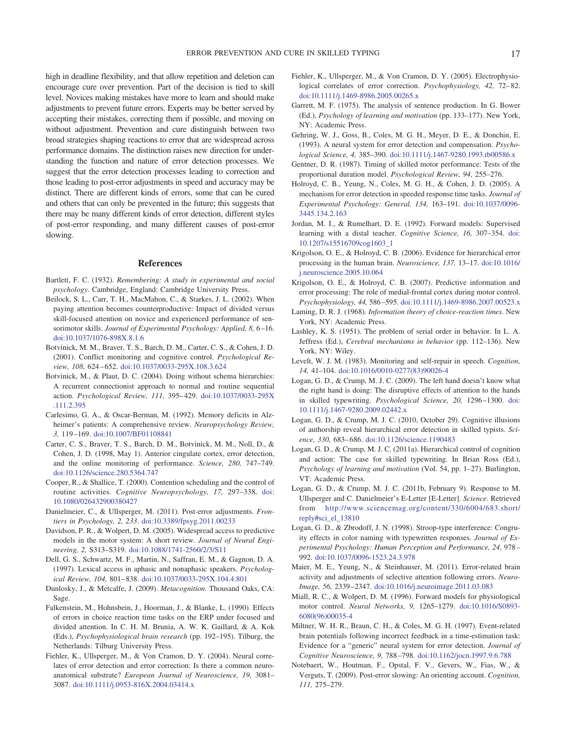high in deadline flexibility, and that allow repetition and deletion can encourage cure over prevention. Part of the decision is tied to skill level. Novices making mistakes have more to learn and should make adjustments to prevent future errors. Experts may be better served by accepting their mistakes, correcting them if possible, and moving on without adjustment. Prevention and cure distinguish between two broad strategies shaping reactions to error that are widespread across performance domains. The distinction raises new direction for understanding the function and nature of error detection processes. We suggest that the error detection processes leading to correction and those leading to post-error adjustments in speed and accuracy may be distinct. There are different kinds of errors, some that can be cured and others that can only be prevented in the future; this suggests that there may be many different kinds of error detection, different styles of post-error responding, and many different causes of post-error slowing.

#### **References**

- Bartlett, F. C. (1932). *Remembering: A study in experimental and social psychology*. Cambridge, England: Cambridge University Press.
- Beilock, S. L., Carr, T. H., MacMahon, C., & Starkes, J. L. (2002). When paying attention becomes counterproductive: Impact of divided versus skill-focused attention on novice and experienced performance of sensorimotor skills. *Journal of Experimental Psychology: Applied, 8,* 6 –16. doi:10.1037/1076-898X.8.1.6
- Botvinick, M. M., Braver, T. S., Barch, D. M., Carter, C. S., & Cohen, J. D. (2001). Conflict monitoring and cognitive control. *Psychological Review, 108,* 624 – 652. doi:10.1037/0033-295X.108.3.624
- Botvinick, M., & Plaut, D. C. (2004). Doing without schema hierarchies: A recurrent connectionist approach to normal and routine sequential action. *Psychological Review, 111,* 395– 429. doi:10.1037/0033-295X .111.2.395
- Carlesimo, G. A., & Oscar-Berman, M. (1992). Memory deficits in Alzheimer's patients: A comprehensive review. *Neuropsychology Review, 3,* 119 –169. doi:10.1007/BF01108841
- Carter, C. S., Braver, T. S., Barch, D. M., Botvinick, M. M., Noll, D., & Cohen, J. D. (1998, May 1). Anterior cingulate cortex, error detection, and the online monitoring of performance. *Science, 280,* 747–749. doi:10.1126/science.280.5364.747
- Cooper, R., & Shallice, T. (2000). Contention scheduling and the control of routine activities. *Cognitive Neuropsychology, 17,* 297–338. doi: 10.1080/026432900380427
- Danielmeier, C., & Ullsperger, M. (2011). Post-error adjustments. *Frontiers in Psychology, 2, 233*. doi:10.3389/fpsyg.2011.00233
- Davidson, P. R., & Wolpert, D. M. (2005). Widespread access to predictive models in the motor system: A short review. *Journal of Neural Engineering, 2,* S313–S319. doi:10.1088/1741-2560/2/3/S11
- Dell, G. S., Schwartz, M. F., Martin, N., Saffran, E. M., & Gagnon, D. A. (1997). Lexical access in aphasic and nonaphasic speakers. *Psychological Review, 104,* 801– 838. doi:10.1037/0033-295X.104.4.801
- Dunlosky, J., & Metcalfe, J. (2009). *Metacognition*. Thousand Oaks, CA: Sage.
- Falkenstein, M., Hohnsbein, J., Hoorman, J., & Blanke, L. (1990). Effects of errors in choice reaction time tasks on the ERP under focused and divided attention. In C. H. M. Brunia, A. W. K. Gaillard, & A. Kok (Eds.), *Psychophysiological brain research* (pp. 192–195). Tilburg, the Netherlands: Tilburg University Press.
- Fiehler, K., Ullsperger, M., & Von Cramon, D. Y. (2004). Neural correlates of error detection and error correction: Is there a common neuroanatomical substrate? *European Journal of Neuroscience, 19,* 3081– 3087. doi:10.1111/j.0953-816X.2004.03414.x
- Fiehler, K., Ullsperger, M., & Von Cramon, D. Y. (2005). Electrophysiological correlates of error correction. *Psychophysiology*, 42, 72–82. doi:10.1111/j.1469-8986.2005.00265.x
- Garrett, M. F. (1975). The analysis of sentence production. In G. Bower (Ed.), *Psychology of learning and motivation* (pp. 133–177). New York, NY: Academic Press.
- Gehring, W. J., Goss, B., Coles, M. G. H., Meyer, D. E., & Donchin, E. (1993). A neural system for error detection and compensation. *Psychological Science, 4,* 385–390. doi:10.1111/j.1467-9280.1993.tb00586.x
- Gentner, D. R. (1987). Timing of skilled motor performance: Tests of the proportional duration model. *Psychological Review, 94,* 255–276.
- Holroyd, C. B., Yeung, N., Coles, M. G. H., & Cohen, J. D. (2005). A mechanism for error detection in speeded response time tasks. *Journal of Experimental Psychology: General, 134,* 163–191. doi:10.1037/0096- 3445.134.2.163
- Jordan, M. I., & Rumelhart, D. E. (1992). Forward models: Supervised learning with a distal teacher. *Cognitive Science, 16,* 307–354. doi: 10.1207/s15516709cog1603\_1
- Krigolson, O. E., & Holroyd, C. B. (2006). Evidence for hierarchical error processing in the human brain. *Neuroscience, 137,* 13–17. doi:10.1016/ j.neuroscience.2005.10.064
- Krigolson, O. E., & Holroyd, C. B. (2007). Predictive information and error processing: The role of medial-frontal cortex during motor control. *Psychophysiology, 44,* 586 –595. doi:10.1111/j.1469-8986.2007.00523.x
- Laming, D. R. J. (1968). *Information theory of choice-reaction times*. New York, NY: Academic Press.
- Lashley, K. S. (1951). The problem of serial order in behavior. In L. A. Jeffress (Ed.), *Cerebral mechanisms in behavior* (pp. 112–136). New York, NY: Wiley.
- Levelt, W. J. M. (1983). Monitoring and self-repair in speech. *Cognition, 14,* 41–104. doi:10.1016/0010-0277(83)90026-4
- Logan, G. D., & Crump, M. J. C. (2009). The left hand doesn't know what the right hand is doing: The disruptive effects of attention to the hands in skilled typewriting. *Psychological Science, 20,* 1296 –1300. doi: 10.1111/j.1467-9280.2009.02442.x
- Logan, G. D., & Crump, M. J. C. (2010, October 29). Cognitive illusions of authorship reveal hierarchical error detection in skilled typists. *Science, 330,* 683– 686. doi:10.1126/science.1190483
- Logan, G. D., & Crump, M. J. C. (2011a). Hierarchical control of cognition and action: The case for skilled typewriting. In Brian Ross (Ed.), *Psychology of learning and motivation* (Vol. 54, pp. 1–27). Burlington, VT: Academic Press.
- Logan, G. D., & Crump, M. J. C. (2011b, February 9). Response to M. Ullsperger and C. Danielmeier's E-Letter [E-Letter]. *Science*. Retrieved from http://www.sciencemag.org/content/330/6004/683.short/ reply#sci\_el\_13810
- Logan, G. D., & Zbrodoff, J. N. (1998). Stroop-type interference: Congruity effects in color naming with typewritten responses. *Journal of Experimental Psychology: Human Perception and Performance, 24,* 978 – 992. doi:10.1037/0096-1523.24.3.978
- Maier, M. E., Yeung, N., & Steinhauser, M. (2011). Error-related brain activity and adjustments of selective attention following errors. *Neuro-Image, 56,* 2339 –2347. doi:10.1016/j.neuroimage.2011.03.083
- Miall, R. C., & Wolpert, D. M. (1996). Forward models for physiological motor control. *Neural Networks, 9,* 1265–1279. doi:10.1016/S0893- 6080(96)00035-4
- Miltner, W. H. R., Braun, C. H., & Coles, M. G. H. (1997). Event-related brain potentials following incorrect feedback in a time-estimation task: Evidence for a "generic" neural system for error detection. *Journal of Cognitive Neuroscience, 9,* 788 –798. doi:10.1162/jocn.1997.9.6.788
- Notebaert, W., Houtman, F., Opstal, F. V., Gevers, W., Fias, W., & Verguts, T. (2009). Post-error slowing: An orienting account. *Cognition, 111,* 275–279.